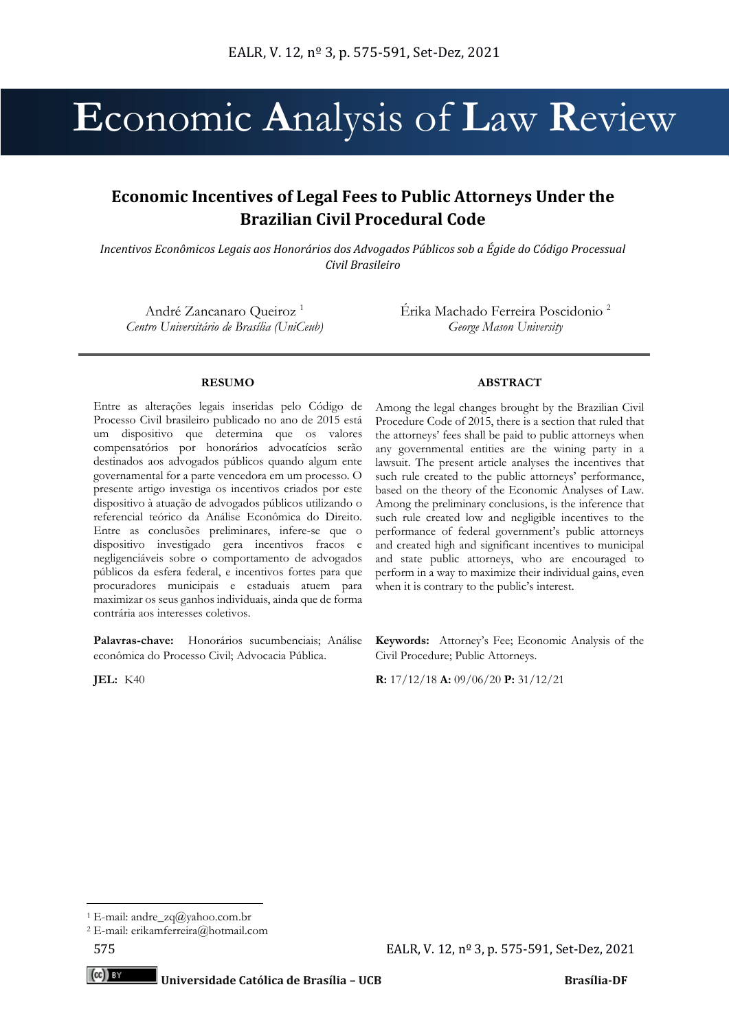# **E**conomic **A**nalysis of **L**aw **R**eview

# **Economic Incentives of Legal Fees to Public Attorneys Under the Brazilian Civil Procedural Code**

*Incentivos Econômicos Legais aos Honorários dos Advogados Públicos sob a Égide do Código Processual Civil Brasileiro*

André Zancanaro Queiroz <sup>1</sup> *Centro Universitário de Brasília (UniCeub)* Érika Machado Ferreira Poscidonio <sup>2</sup> *George Mason University*

#### **RESUMO**

Entre as alterações legais inseridas pelo Código de Processo Civil brasileiro publicado no ano de 2015 está um dispositivo que determina que os valores compensatórios por honorários advocatícios serão destinados aos advogados públicos quando algum ente governamental for a parte vencedora em um processo. O presente artigo investiga os incentivos criados por este dispositivo à atuação de advogados públicos utilizando o referencial teórico da Análise Econômica do Direito. Entre as conclusões preliminares, infere-se que o dispositivo investigado gera incentivos fracos e negligenciáveis sobre o comportamento de advogados públicos da esfera federal, e incentivos fortes para que procuradores municipais e estaduais atuem para maximizar os seus ganhos individuais, ainda que de forma contrária aos interesses coletivos.

Palavras-chave: Honorários sucumbenciais; Análise econômica do Processo Civil; Advocacia Pública.

#### **ABSTRACT**

Among the legal changes brought by the Brazilian Civil Procedure Code of 2015, there is a section that ruled that the attorneys' fees shall be paid to public attorneys when any governmental entities are the wining party in a lawsuit. The present article analyses the incentives that such rule created to the public attorneys' performance, based on the theory of the Economic Analyses of Law. Among the preliminary conclusions, is the inference that such rule created low and negligible incentives to the performance of federal government's public attorneys and created high and significant incentives to municipal and state public attorneys, who are encouraged to perform in a way to maximize their individual gains, even when it is contrary to the public's interest.

**Keywords:** Attorney's Fee; Economic Analysis of the Civil Procedure; Public Attorneys.

**JEL:** K40 **R:** 17/12/18 **A:** 09/06/20 **P:** 31/12/21

 $(cc)$  BY

<sup>&</sup>lt;sup>1</sup> E-mail: andre\_zq@yahoo.com.br

<sup>2</sup> E-mail: erikamferreira@hotmail.com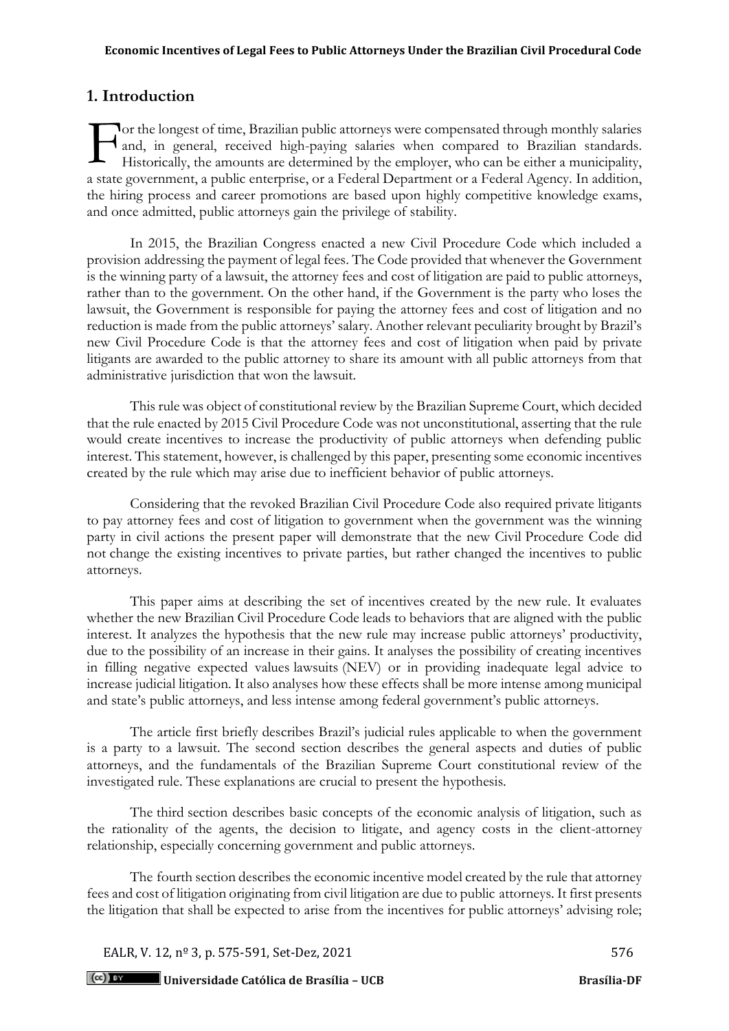# **1. Introduction**

**T** or the longest of time, Brazilian public attorneys were compensated through monthly salaries and, in general, received high-paying salaries when compared to Brazilian standards. Historically, the amounts are determined by the employer, who can be either a municipality, a state government, a public enterprise, or a Federal Department or a Federal Agency. In addition, the hiring process and career promotions are based upon highly competitive knowledge exams, and once admitted, public attorneys gain the privilege of stability. F

In 2015, the Brazilian Congress enacted a new Civil Procedure Code which included a provision addressing the payment of legal fees. The Code provided that whenever the Government is the winning party of a lawsuit, the attorney fees and cost of litigation are paid to public attorneys, rather than to the government. On the other hand, if the Government is the party who loses the lawsuit, the Government is responsible for paying the attorney fees and cost of litigation and no reduction is made from the public attorneys' salary. Another relevant peculiarity brought by Brazil's new Civil Procedure Code is that the attorney fees and cost of litigation when paid by private litigants are awarded to the public attorney to share its amount with all public attorneys from that administrative jurisdiction that won the lawsuit.

This rule was object of constitutional review by the Brazilian Supreme Court, which decided that the rule enacted by 2015 Civil Procedure Code was not unconstitutional, asserting that the rule would create incentives to increase the productivity of public attorneys when defending public interest. This statement, however, is challenged by this paper, presenting some economic incentives created by the rule which may arise due to inefficient behavior of public attorneys.

Considering that the revoked Brazilian Civil Procedure Code also required private litigants to pay attorney fees and cost of litigation to government when the government was the winning party in civil actions the present paper will demonstrate that the new Civil Procedure Code did not change the existing incentives to private parties, but rather changed the incentives to public attorneys.

This paper aims at describing the set of incentives created by the new rule. It evaluates whether the new Brazilian Civil Procedure Code leads to behaviors that are aligned with the public interest. It analyzes the hypothesis that the new rule may increase public attorneys' productivity, due to the possibility of an increase in their gains. It analyses the possibility of creating incentives in filling negative expected values lawsuits (NEV) or in providing inadequate legal advice to increase judicial litigation. It also analyses how these effects shall be more intense among municipal and state's public attorneys, and less intense among federal government's public attorneys.

The article first briefly describes Brazil's judicial rules applicable to when the government is a party to a lawsuit. The second section describes the general aspects and duties of public attorneys, and the fundamentals of the Brazilian Supreme Court constitutional review of the investigated rule. These explanations are crucial to present the hypothesis.

The third section describes basic concepts of the economic analysis of litigation, such as the rationality of the agents, the decision to litigate, and agency costs in the client-attorney relationship, especially concerning government and public attorneys.

The fourth section describes the economic incentive model created by the rule that attorney fees and cost of litigation originating from civil litigation are due to public attorneys. It first presents the litigation that shall be expected to arise from the incentives for public attorneys' advising role;

EALR, V. 12,  $n^{\circ}$  3, p. 575-591, Set-Dez, 2021

 $(cc)$  BY **Universidade Católica de Brasília – UCB Brasília-DF**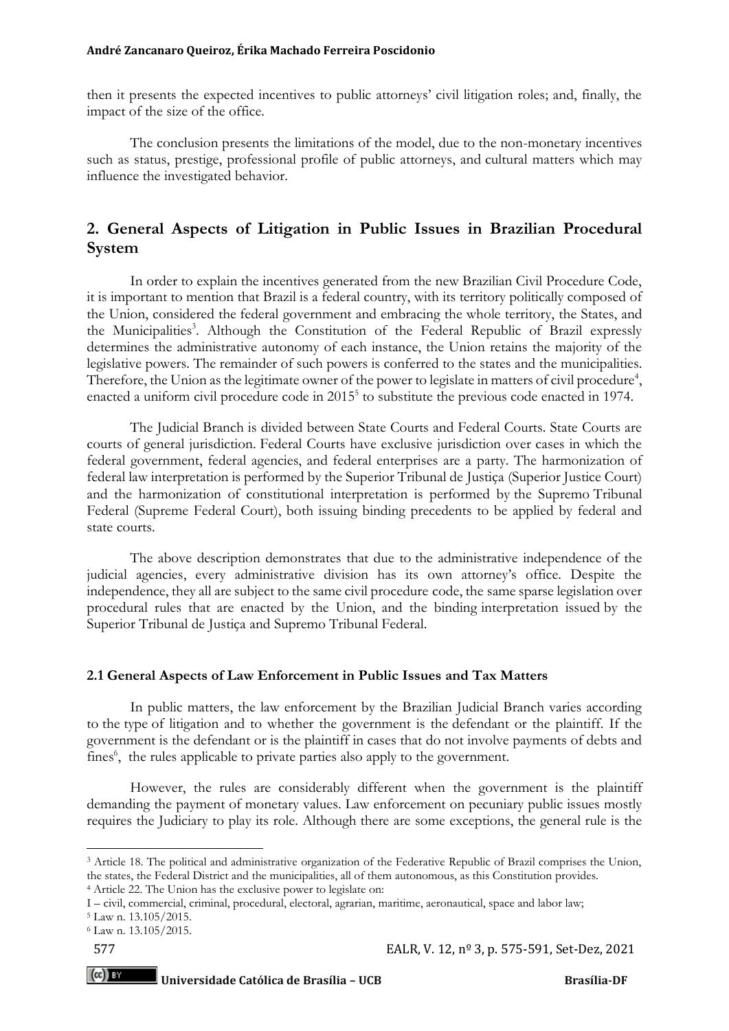then it presents the expected incentives to public attorneys' civil litigation roles; and, finally, the impact of the size of the office.

The conclusion presents the limitations of the model, due to the non-monetary incentives such as status, prestige, professional profile of public attorneys, and cultural matters which may influence the investigated behavior.

# **2. General Aspects of Litigation in Public Issues in Brazilian Procedural System**

In order to explain the incentives generated from the new Brazilian Civil Procedure Code, it is important to mention that Brazil is a federal country, with its territory politically composed of the Union, considered the federal government and embracing the whole territory, the States, and the Municipalities<sup>3</sup>. Although the Constitution of the Federal Republic of Brazil expressly determines the administrative autonomy of each instance, the Union retains the majority of the legislative powers. The remainder of such powers is conferred to the states and the municipalities. Therefore, the Union as the legitimate owner of the power to legislate in matters of civil procedure<sup>4</sup>, enacted a uniform civil procedure code in 2015<sup>5</sup> to substitute the previous code enacted in 1974.

The Judicial Branch is divided between State Courts and Federal Courts. State Courts are courts of general jurisdiction. Federal Courts have exclusive jurisdiction over cases in which the federal government, federal agencies, and federal enterprises are a party. The harmonization of federal law interpretation is performed by the Superior Tribunal de Justiça (Superior Justice Court) and the harmonization of constitutional interpretation is performed by the Supremo Tribunal Federal (Supreme Federal Court), both issuing binding precedents to be applied by federal and state courts.

The above description demonstrates that due to the administrative independence of the judicial agencies, every administrative division has its own attorney's office. Despite the independence, they all are subject to the same civil procedure code, the same sparse legislation over procedural rules that are enacted by the Union, and the binding interpretation issued by the Superior Tribunal de Justiça and Supremo Tribunal Federal.

## **2.1 General Aspects of Law Enforcement in Public Issues and Tax Matters**

In public matters, the law enforcement by the Brazilian Judicial Branch varies according to the type of litigation and to whether the government is the defendant or the plaintiff. If the government is the defendant or is the plaintiff in cases that do not involve payments of debts and fines<sup>6</sup>, the rules applicable to private parties also apply to the government.

However, the rules are considerably different when the government is the plaintiff demanding the payment of monetary values. Law enforcement on pecuniary public issues mostly requires the Judiciary to play its role. Although there are some exceptions, the general rule is the

 $(cc)$  by

<sup>3</sup> Article 18. The political and administrative organization of the Federative Republic of Brazil comprises the Union, the states, the Federal District and the municipalities, all of them autonomous, as this Constitution provides.

<sup>4</sup> Article 22. The Union has the exclusive power to legislate on:

I – civil, commercial, criminal, procedural, electoral, agrarian, maritime, aeronautical, space and labor law;

<sup>5</sup> Law n. 13.105/2015.

<sup>6</sup> Law n. 13.105/2015.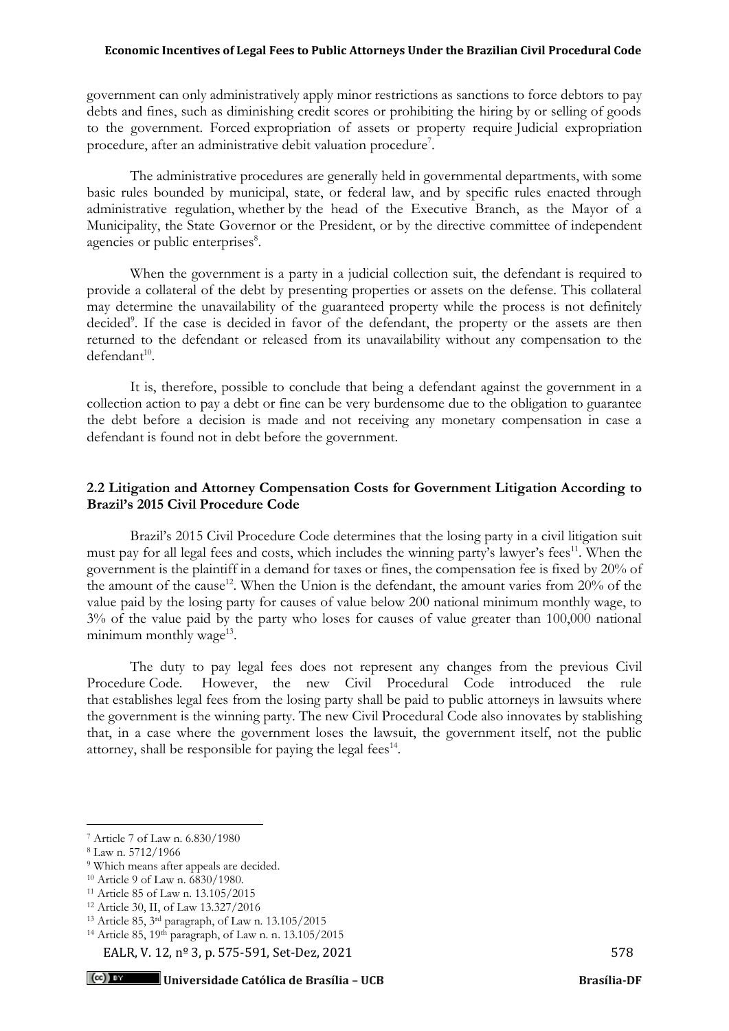government can only administratively apply minor restrictions as sanctions to force debtors to pay debts and fines, such as diminishing credit scores or prohibiting the hiring by or selling of goods to the government. Forced expropriation of assets or property require Judicial expropriation procedure, after an administrative debit valuation procedure<sup>7</sup>.

The administrative procedures are generally held in governmental departments, with some basic rules bounded by municipal, state, or federal law, and by specific rules enacted through administrative regulation, whether by the head of the Executive Branch, as the Mayor of a Municipality, the State Governor or the President, or by the directive committee of independent agencies or public enterprises<sup>8</sup>.

When the government is a party in a judicial collection suit, the defendant is required to provide a collateral of the debt by presenting properties or assets on the defense. This collateral may determine the unavailability of the guaranteed property while the process is not definitely decided<sup>9</sup>. If the case is decided in favor of the defendant, the property or the assets are then returned to the defendant or released from its unavailability without any compensation to the  $d$ efendant $^{10}$ .

It is, therefore, possible to conclude that being a defendant against the government in a collection action to pay a debt or fine can be very burdensome due to the obligation to guarantee the debt before a decision is made and not receiving any monetary compensation in case a defendant is found not in debt before the government.

## **2.2 Litigation and Attorney Compensation Costs for Government Litigation According to Brazil's 2015 Civil Procedure Code**

Brazil's 2015 Civil Procedure Code determines that the losing party in a civil litigation suit must pay for all legal fees and costs, which includes the winning party's lawyer's fees<sup>11</sup>. When the government is the plaintiff in a demand for taxes or fines, the compensation fee is fixed by 20% of the amount of the cause<sup>12</sup>. When the Union is the defendant, the amount varies from  $20\%$  of the value paid by the losing party for causes of value below 200 national minimum monthly wage, to 3% of the value paid by the party who loses for causes of value greater than 100,000 national minimum monthly wage<sup>13</sup>.

The duty to pay legal fees does not represent any changes from the previous Civil Procedure Code. However, the new Civil Procedural Code introduced the rule that establishes legal fees from the losing party shall be paid to public attorneys in lawsuits where the government is the winning party. The new Civil Procedural Code also innovates by stablishing that, in a case where the government loses the lawsuit, the government itself, not the public attorney, shall be responsible for paying the legal fees<sup>14</sup>.

EALR, V. 12,  $n^{\circ}$  3, p. 575-591, Set-Dez, 2021

<sup>7</sup> Article 7 of Law n. 6.830/1980

<sup>8</sup> Law n. 5712/1966

<sup>9</sup> Which means after appeals are decided.

<sup>10</sup> Article 9 of Law n. 6830/1980.

<sup>11</sup> Article 85 of Law n. 13.105/2015

<sup>12</sup> Article 30, II, of Law 13.327/2016

<sup>13</sup> Article 85, 3rd paragraph, of Law n. 13.105/2015

<sup>14</sup> Article 85, 19th paragraph, of Law n. n. 13.105/2015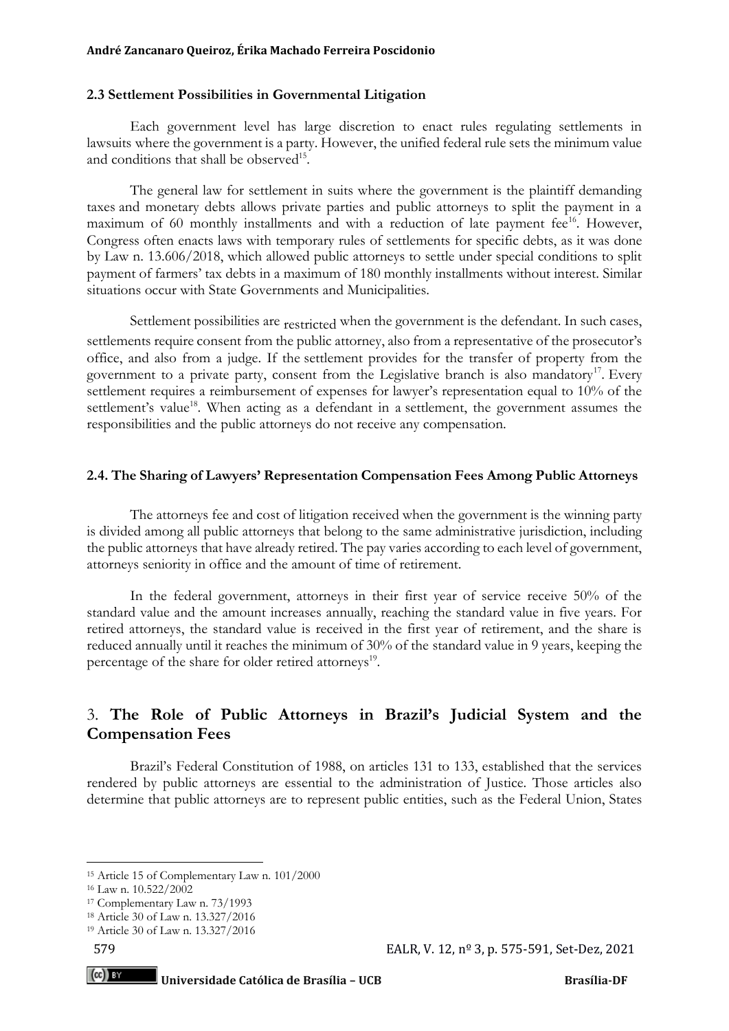## **2.3 Settlement Possibilities in Governmental Litigation**

Each government level has large discretion to enact rules regulating settlements in lawsuits where the government is a party. However, the unified federal rule sets the minimum value and conditions that shall be observed<sup>15</sup>.

The general law for settlement in suits where the government is the plaintiff demanding taxes and monetary debts allows private parties and public attorneys to split the payment in a maximum of 60 monthly installments and with a reduction of late payment fee $^{16}$ . However, Congress often enacts laws with temporary rules of settlements for specific debts, as it was done by Law n. 13.606/2018, which allowed public attorneys to settle under special conditions to split payment of farmers' tax debts in a maximum of 180 monthly installments without interest. Similar situations occur with State Governments and Municipalities.

Settlement possibilities are restricted when the government is the defendant. In such cases, settlements require consent from the public attorney, also from a representative of the prosecutor's office, and also from a judge. If the settlement provides for the transfer of property from the government to a private party, consent from the Legislative branch is also mandatory<sup>17</sup>. Every settlement requires a reimbursement of expenses for lawyer's representation equal to 10% of the settlement's value<sup>18</sup>. When acting as a defendant in a settlement, the government assumes the responsibilities and the public attorneys do not receive any compensation.

## **2.4. The Sharing of Lawyers' Representation Compensation Fees Among Public Attorneys**

The attorneys fee and cost of litigation received when the government is the winning party is divided among all public attorneys that belong to the same administrative jurisdiction, including the public attorneys that have already retired. The pay varies according to each level of government, attorneys seniority in office and the amount of time of retirement.

In the federal government, attorneys in their first year of service receive 50% of the standard value and the amount increases annually, reaching the standard value in five years. For retired attorneys, the standard value is received in the first year of retirement, and the share is reduced annually until it reaches the minimum of 30% of the standard value in 9 years, keeping the percentage of the share for older retired attorneys<sup>19</sup>.

# 3. **The Role of Public Attorneys in Brazil's Judicial System and the Compensation Fees**

Brazil's Federal Constitution of 1988, on articles 131 to 133, established that the services rendered by public attorneys are essential to the administration of Justice. Those articles also determine that public attorneys are to represent public entities, such as the Federal Union, States

 $(cc)$  by

<sup>15</sup> Article 15 of Complementary Law n. 101/2000

<sup>16</sup> Law n. 10.522/2002

<sup>17</sup> Complementary Law n. 73/1993

<sup>18</sup> Article 30 of Law n. 13.327/2016

<sup>19</sup> Article 30 of Law n. 13.327/2016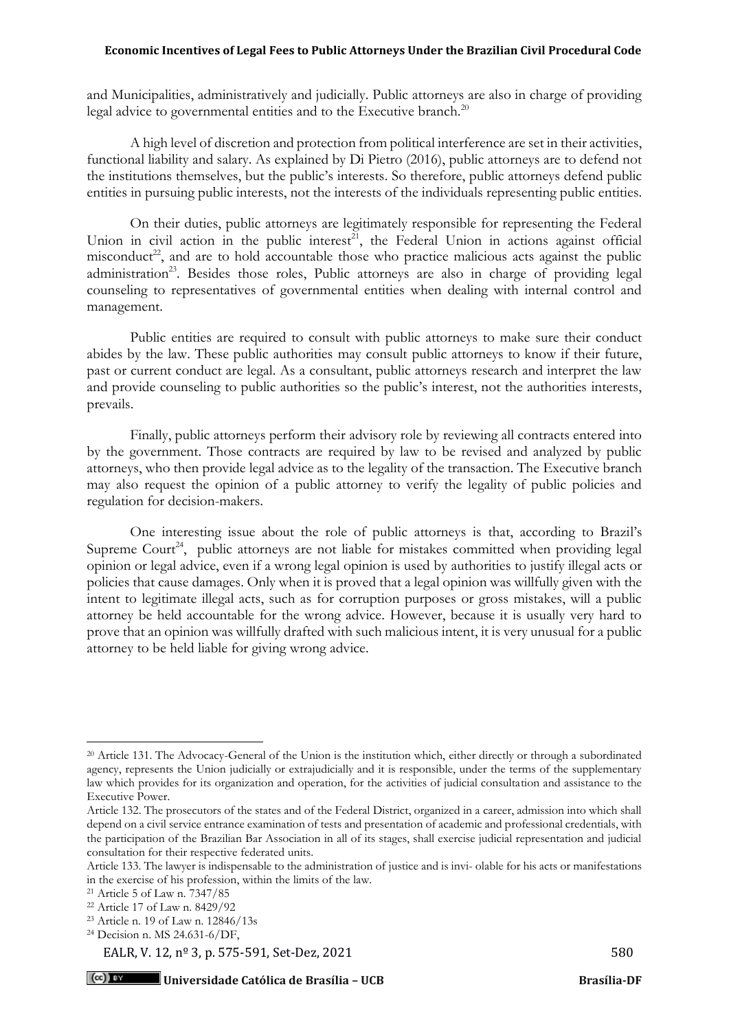and Municipalities, administratively and judicially. Public attorneys are also in charge of providing legal advice to governmental entities and to the Executive branch.<sup>20</sup>

A high level of discretion and protection from political interference are set in their activities, functional liability and salary. As explained by Di Pietro (2016), public attorneys are to defend not the institutions themselves, but the public's interests. So therefore, public attorneys defend public entities in pursuing public interests, not the interests of the individuals representing public entities.

On their duties, public attorneys are legitimately responsible for representing the Federal Union in civil action in the public interest<sup>21</sup>, the Federal Union in actions against official misconduct<sup>22</sup>, and are to hold accountable those who practice malicious acts against the public administration<sup>23</sup>. Besides those roles, Public attorneys are also in charge of providing legal counseling to representatives of governmental entities when dealing with internal control and management.

Public entities are required to consult with public attorneys to make sure their conduct abides by the law. These public authorities may consult public attorneys to know if their future, past or current conduct are legal. As a consultant, public attorneys research and interpret the law and provide counseling to public authorities so the public's interest, not the authorities interests, prevails.

Finally, public attorneys perform their advisory role by reviewing all contracts entered into by the government. Those contracts are required by law to be revised and analyzed by public attorneys, who then provide legal advice as to the legality of the transaction. The Executive branch may also request the opinion of a public attorney to verify the legality of public policies and regulation for decision-makers.

One interesting issue about the role of public attorneys is that, according to Brazil's Supreme Court<sup>24</sup>, public attorneys are not liable for mistakes committed when providing legal opinion or legal advice, even if a wrong legal opinion is used by authorities to justify illegal acts or policies that cause damages. Only when it is proved that a legal opinion was willfully given with the intent to legitimate illegal acts, such as for corruption purposes or gross mistakes, will a public attorney be held accountable for the wrong advice. However, because it is usually very hard to prove that an opinion was willfully drafted with such malicious intent, it is very unusual for a public attorney to be held liable for giving wrong advice.

<sup>&</sup>lt;sup>20</sup> Article 131. The Advocacy-General of the Union is the institution which, either directly or through a subordinated agency, represents the Union judicially or extrajudicially and it is responsible, under the terms of the supplementary law which provides for its organization and operation, for the activities of judicial consultation and assistance to the Executive Power.

Article 132. The prosecutors of the states and of the Federal District, organized in a career, admission into which shall depend on a civil service entrance examination of tests and presentation of academic and professional credentials, with the participation of the Brazilian Bar Association in all of its stages, shall exercise judicial representation and judicial consultation for their respective federated units.

Article 133. The lawyer is indispensable to the administration of justice and is invi- olable for his acts or manifestations in the exercise of his profession, within the limits of the law.

<sup>21</sup> Article 5 of Law n. 7347/85

<sup>22</sup> Article 17 of Law n. 8429/92

<sup>23</sup> Article n. 19 of Law n. 12846/13s

<sup>24</sup> Decision n. MS 24.631-6/DF,

EALR, V. 12,  $n^{\circ}$  3, p. 575-591, Set-Dez, 2021 580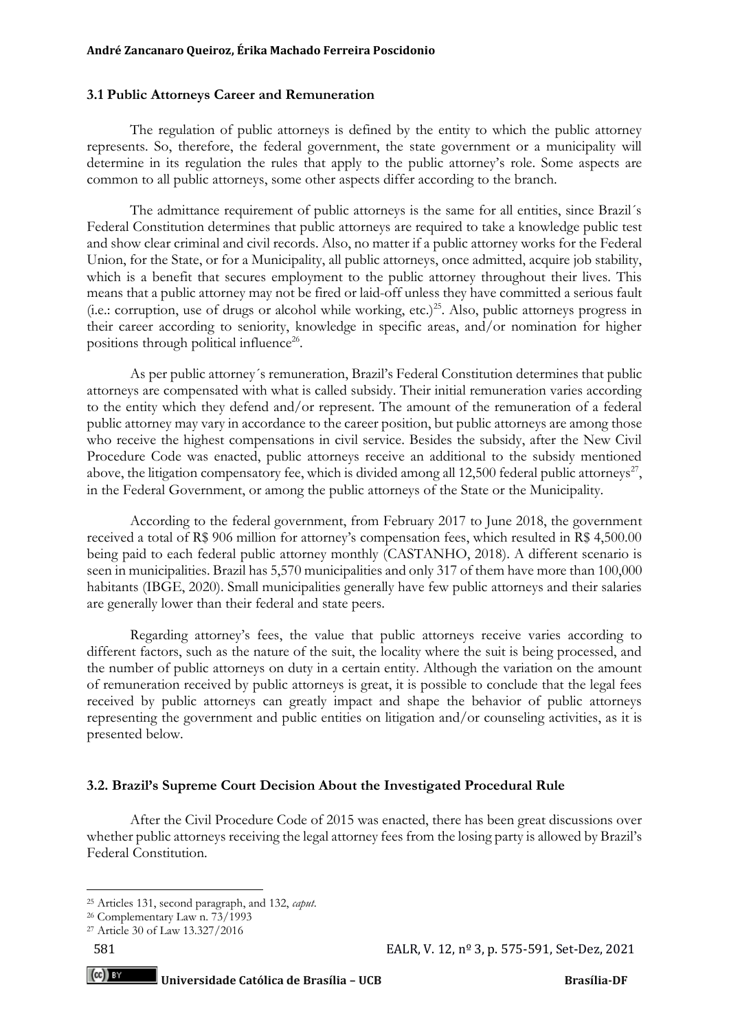## **3.1 Public Attorneys Career and Remuneration**

The regulation of public attorneys is defined by the entity to which the public attorney represents. So, therefore, the federal government, the state government or a municipality will determine in its regulation the rules that apply to the public attorney's role. Some aspects are common to all public attorneys, some other aspects differ according to the branch.

The admittance requirement of public attorneys is the same for all entities, since Brazil´s Federal Constitution determines that public attorneys are required to take a knowledge public test and show clear criminal and civil records. Also, no matter if a public attorney works for the Federal Union, for the State, or for a Municipality, all public attorneys, once admitted, acquire job stability, which is a benefit that secures employment to the public attorney throughout their lives. This means that a public attorney may not be fired or laid-off unless they have committed a serious fault (i.e.: corruption, use of drugs or alcohol while working, etc.)<sup>25</sup>. Also, public attorneys progress in their career according to seniority, knowledge in specific areas, and/or nomination for higher positions through political influence<sup>26</sup>.

As per public attorney´s remuneration, Brazil's Federal Constitution determines that public attorneys are compensated with what is called subsidy. Their initial remuneration varies according to the entity which they defend and/or represent. The amount of the remuneration of a federal public attorney may vary in accordance to the career position, but public attorneys are among those who receive the highest compensations in civil service. Besides the subsidy, after the New Civil Procedure Code was enacted, public attorneys receive an additional to the subsidy mentioned above, the litigation compensatory fee, which is divided among all 12,500 federal public attorneys<sup>27</sup>, in the Federal Government, or among the public attorneys of the State or the Municipality.

According to the federal government, from February 2017 to June 2018, the government received a total of R\$ 906 million for attorney's compensation fees, which resulted in R\$ 4,500.00 being paid to each federal public attorney monthly (CASTANHO, 2018). A different scenario is seen in municipalities. Brazil has 5,570 municipalities and only 317 of them have more than 100,000 habitants (IBGE, 2020). Small municipalities generally have few public attorneys and their salaries are generally lower than their federal and state peers.

Regarding attorney's fees, the value that public attorneys receive varies according to different factors, such as the nature of the suit, the locality where the suit is being processed, and the number of public attorneys on duty in a certain entity. Although the variation on the amount of remuneration received by public attorneys is great, it is possible to conclude that the legal fees received by public attorneys can greatly impact and shape the behavior of public attorneys representing the government and public entities on litigation and/or counseling activities, as it is presented below.

## **3.2. Brazil's Supreme Court Decision About the Investigated Procedural Rule**

After the Civil Procedure Code of 2015 was enacted, there has been great discussions over whether public attorneys receiving the legal attorney fees from the losing party is allowed by Brazil's Federal Constitution.

 $(cc)$  by

<sup>25</sup> Articles 131, second paragraph, and 132, *caput*.

<sup>26</sup> Complementary Law n. 73/1993

<sup>27</sup> Article 30 of Law 13.327/2016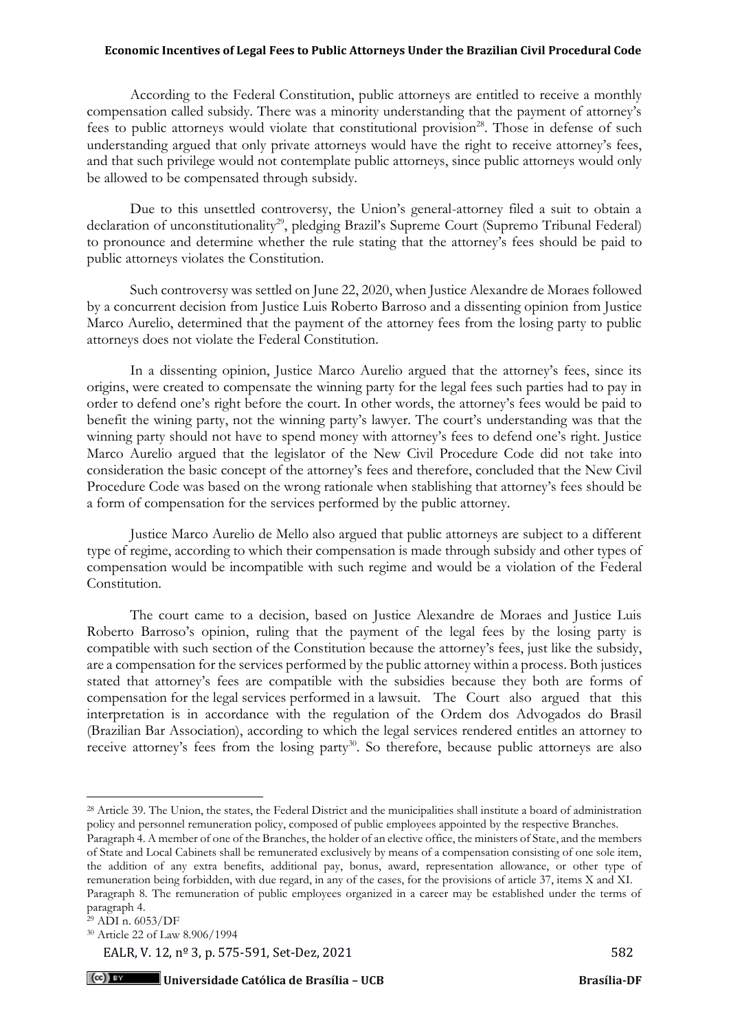According to the Federal Constitution, public attorneys are entitled to receive a monthly compensation called subsidy. There was a minority understanding that the payment of attorney's fees to public attorneys would violate that constitutional provision<sup>28</sup>. Those in defense of such understanding argued that only private attorneys would have the right to receive attorney's fees, and that such privilege would not contemplate public attorneys, since public attorneys would only be allowed to be compensated through subsidy.

Due to this unsettled controversy, the Union's general-attorney filed a suit to obtain a declaration of unconstitutionality<sup>29</sup>, pledging Brazil's Supreme Court (Supremo Tribunal Federal) to pronounce and determine whether the rule stating that the attorney's fees should be paid to public attorneys violates the Constitution.

Such controversy was settled on June 22, 2020, when Justice Alexandre de Moraes followed by a concurrent decision from Justice Luis Roberto Barroso and a dissenting opinion from Justice Marco Aurelio, determined that the payment of the attorney fees from the losing party to public attorneys does not violate the Federal Constitution.

In a dissenting opinion, Justice Marco Aurelio argued that the attorney's fees, since its origins, were created to compensate the winning party for the legal fees such parties had to pay in order to defend one's right before the court. In other words, the attorney's fees would be paid to benefit the wining party, not the winning party's lawyer. The court's understanding was that the winning party should not have to spend money with attorney's fees to defend one's right. Justice Marco Aurelio argued that the legislator of the New Civil Procedure Code did not take into consideration the basic concept of the attorney's fees and therefore, concluded that the New Civil Procedure Code was based on the wrong rationale when stablishing that attorney's fees should be a form of compensation for the services performed by the public attorney.

Justice Marco Aurelio de Mello also argued that public attorneys are subject to a different type of regime, according to which their compensation is made through subsidy and other types of compensation would be incompatible with such regime and would be a violation of the Federal Constitution.

The court came to a decision, based on Justice Alexandre de Moraes and Justice Luis Roberto Barroso's opinion, ruling that the payment of the legal fees by the losing party is compatible with such section of the Constitution because the attorney's fees, just like the subsidy, are a compensation for the services performed by the public attorney within a process. Both justices stated that attorney's fees are compatible with the subsidies because they both are forms of compensation for the legal services performed in a lawsuit. The Court also argued that this interpretation is in accordance with the regulation of the Ordem dos Advogados do Brasil (Brazilian Bar Association), according to which the legal services rendered entitles an attorney to receive attorney's fees from the losing party<sup>30</sup>. So therefore, because public attorneys are also

EALR, V. 12,  $n^{\circ}$  3, p. 575-591, Set-Dez, 2021 582

<sup>&</sup>lt;sup>28</sup> Article 39. The Union, the states, the Federal District and the municipalities shall institute a board of administration policy and personnel remuneration policy, composed of public employees appointed by the respective Branches.

Paragraph 4. A member of one of the Branches, the holder of an elective office, the ministers of State, and the members of State and Local Cabinets shall be remunerated exclusively by means of a compensation consisting of one sole item, the addition of any extra benefits, additional pay, bonus, award, representation allowance, or other type of remuneration being forbidden, with due regard, in any of the cases, for the provisions of article 37, items X and XI. Paragraph 8. The remuneration of public employees organized in a career may be established under the terms of paragraph 4.

<sup>29</sup> ADI n. 6053/DF

<sup>30</sup> Article 22 of Law 8.906/1994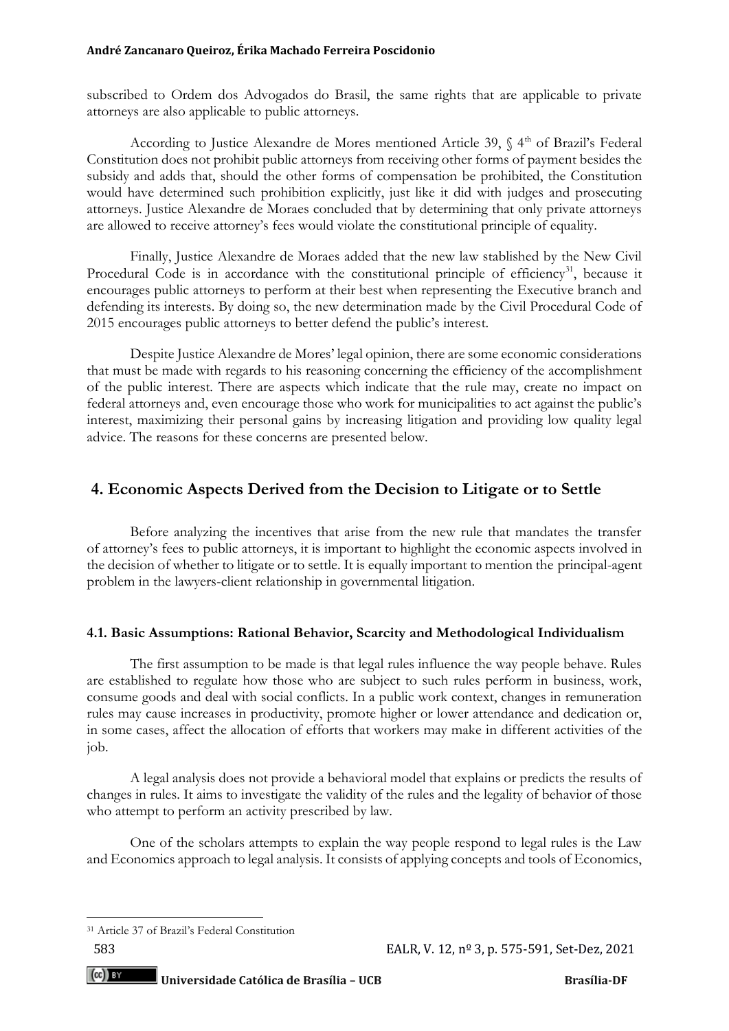subscribed to Ordem dos Advogados do Brasil, the same rights that are applicable to private attorneys are also applicable to public attorneys.

According to Justice Alexandre de Mores mentioned Article 39, § 4<sup>th</sup> of Brazil's Federal Constitution does not prohibit public attorneys from receiving other forms of payment besides the subsidy and adds that, should the other forms of compensation be prohibited, the Constitution would have determined such prohibition explicitly, just like it did with judges and prosecuting attorneys. Justice Alexandre de Moraes concluded that by determining that only private attorneys are allowed to receive attorney's fees would violate the constitutional principle of equality.

Finally, Justice Alexandre de Moraes added that the new law stablished by the New Civil Procedural Code is in accordance with the constitutional principle of efficiency<sup>31</sup>, because it encourages public attorneys to perform at their best when representing the Executive branch and defending its interests. By doing so, the new determination made by the Civil Procedural Code of 2015 encourages public attorneys to better defend the public's interest.

Despite Justice Alexandre de Mores' legal opinion, there are some economic considerations that must be made with regards to his reasoning concerning the efficiency of the accomplishment of the public interest. There are aspects which indicate that the rule may, create no impact on federal attorneys and, even encourage those who work for municipalities to act against the public's interest, maximizing their personal gains by increasing litigation and providing low quality legal advice. The reasons for these concerns are presented below.

# **4. Economic Aspects Derived from the Decision to Litigate or to Settle**

Before analyzing the incentives that arise from the new rule that mandates the transfer of attorney's fees to public attorneys, it is important to highlight the economic aspects involved in the decision of whether to litigate or to settle. It is equally important to mention the principal-agent problem in the lawyers-client relationship in governmental litigation.

## **4.1. Basic Assumptions: Rational Behavior, Scarcity and Methodological Individualism**

The first assumption to be made is that legal rules influence the way people behave. Rules are established to regulate how those who are subject to such rules perform in business, work, consume goods and deal with social conflicts. In a public work context, changes in remuneration rules may cause increases in productivity, promote higher or lower attendance and dedication or, in some cases, affect the allocation of efforts that workers may make in different activities of the job.

A legal analysis does not provide a behavioral model that explains or predicts the results of changes in rules. It aims to investigate the validity of the rules and the legality of behavior of those who attempt to perform an activity prescribed by law.

One of the scholars attempts to explain the way people respond to legal rules is the Law and Economics approach to legal analysis. It consists of applying concepts and tools of Economics,

<sup>31</sup> Article 37 of Brazil's Federal Constitution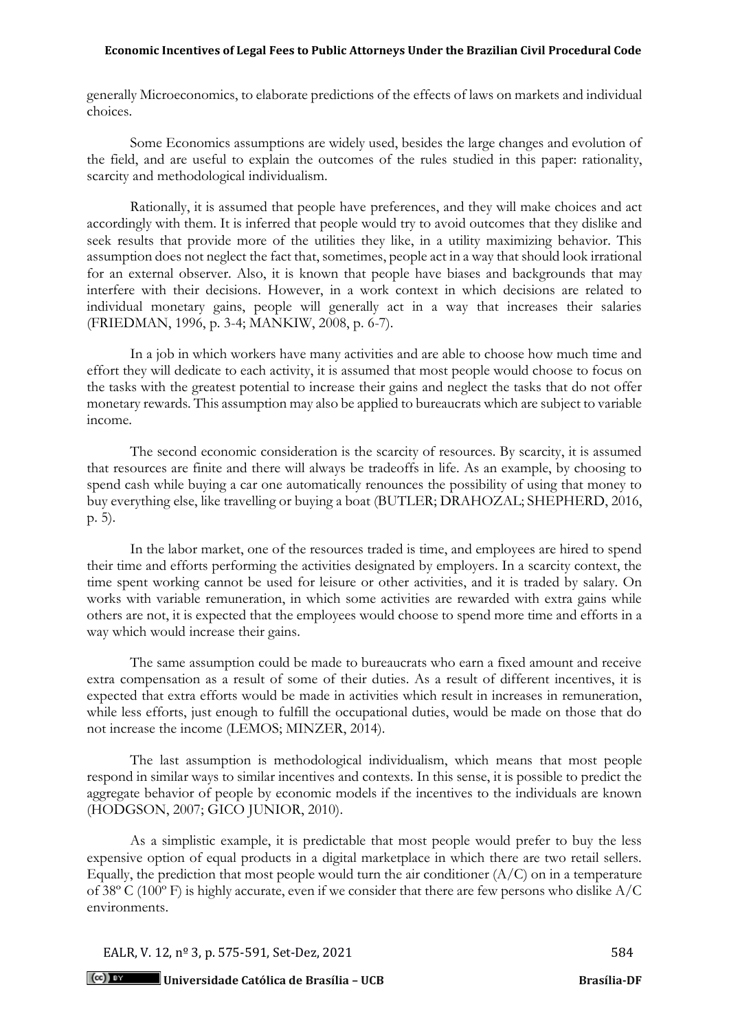generally Microeconomics, to elaborate predictions of the effects of laws on markets and individual choices.

Some Economics assumptions are widely used, besides the large changes and evolution of the field, and are useful to explain the outcomes of the rules studied in this paper: rationality, scarcity and methodological individualism.

Rationally, it is assumed that people have preferences, and they will make choices and act accordingly with them. It is inferred that people would try to avoid outcomes that they dislike and seek results that provide more of the utilities they like, in a utility maximizing behavior. This assumption does not neglect the fact that, sometimes, people act in a way that should look irrational for an external observer. Also, it is known that people have biases and backgrounds that may interfere with their decisions. However, in a work context in which decisions are related to individual monetary gains, people will generally act in a way that increases their salaries (FRIEDMAN, 1996, p. 3-4; MANKIW, 2008, p. 6-7).

In a job in which workers have many activities and are able to choose how much time and effort they will dedicate to each activity, it is assumed that most people would choose to focus on the tasks with the greatest potential to increase their gains and neglect the tasks that do not offer monetary rewards. This assumption may also be applied to bureaucrats which are subject to variable income.

The second economic consideration is the scarcity of resources. By scarcity, it is assumed that resources are finite and there will always be tradeoffs in life. As an example, by choosing to spend cash while buying a car one automatically renounces the possibility of using that money to buy everything else, like travelling or buying a boat (BUTLER; DRAHOZAL; SHEPHERD, 2016, p. 5).

In the labor market, one of the resources traded is time, and employees are hired to spend their time and efforts performing the activities designated by employers. In a scarcity context, the time spent working cannot be used for leisure or other activities, and it is traded by salary. On works with variable remuneration, in which some activities are rewarded with extra gains while others are not, it is expected that the employees would choose to spend more time and efforts in a way which would increase their gains.

The same assumption could be made to bureaucrats who earn a fixed amount and receive extra compensation as a result of some of their duties. As a result of different incentives, it is expected that extra efforts would be made in activities which result in increases in remuneration, while less efforts, just enough to fulfill the occupational duties, would be made on those that do not increase the income (LEMOS; MINZER, 2014).

The last assumption is methodological individualism, which means that most people respond in similar ways to similar incentives and contexts. In this sense, it is possible to predict the aggregate behavior of people by economic models if the incentives to the individuals are known (HODGSON, 2007; GICO JUNIOR, 2010).

As a simplistic example, it is predictable that most people would prefer to buy the less expensive option of equal products in a digital marketplace in which there are two retail sellers. Equally, the prediction that most people would turn the air conditioner  $(A/C)$  on in a temperature of 38º C (100º F) is highly accurate, even if we consider that there are few persons who dislike A/C environments.

EALR, V. 12,  $n^{\circ}$  3, p. 575-591, Set-Dez, 2021

**Universidade Católica de Brasília – UCB Brasília-DF**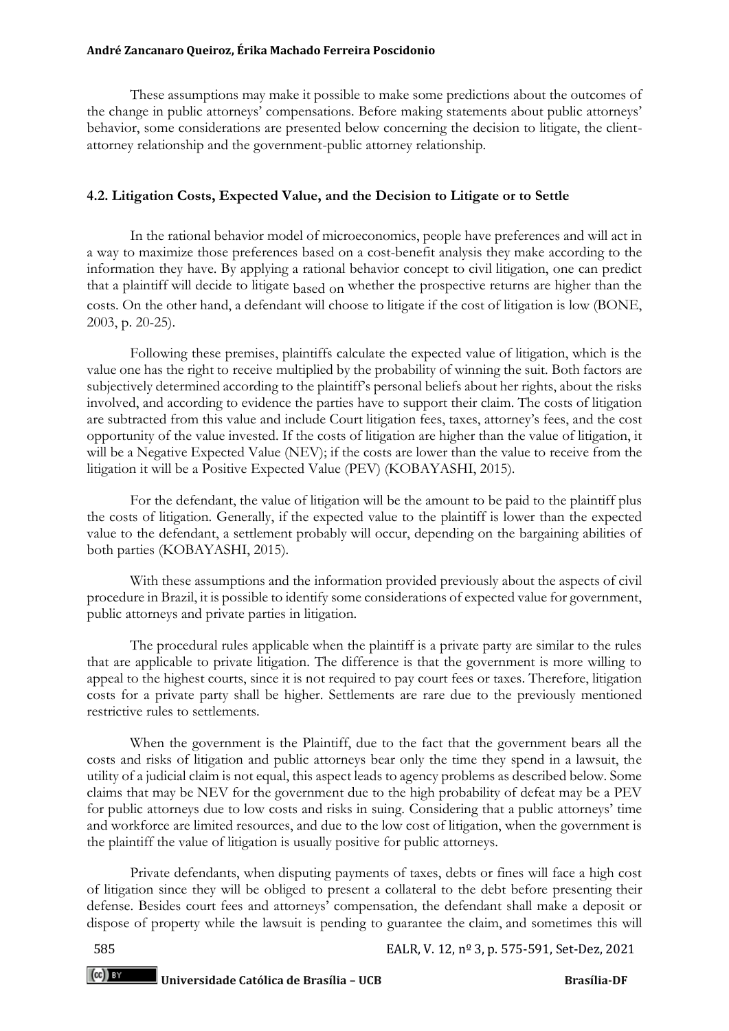These assumptions may make it possible to make some predictions about the outcomes of the change in public attorneys' compensations. Before making statements about public attorneys' behavior, some considerations are presented below concerning the decision to litigate, the clientattorney relationship and the government-public attorney relationship.

## **4.2. Litigation Costs, Expected Value, and the Decision to Litigate or to Settle**

In the rational behavior model of microeconomics, people have preferences and will act in a way to maximize those preferences based on a cost-benefit analysis they make according to the information they have. By applying a rational behavior concept to civil litigation, one can predict that a plaintiff will decide to litigate based on whether the prospective returns are higher than the costs. On the other hand, a defendant will choose to litigate if the cost of litigation is low (BONE, 2003, p. 20-25).

Following these premises, plaintiffs calculate the expected value of litigation, which is the value one has the right to receive multiplied by the probability of winning the suit. Both factors are subjectively determined according to the plaintiff's personal beliefs about her rights, about the risks involved, and according to evidence the parties have to support their claim. The costs of litigation are subtracted from this value and include Court litigation fees, taxes, attorney's fees, and the cost opportunity of the value invested. If the costs of litigation are higher than the value of litigation, it will be a Negative Expected Value (NEV); if the costs are lower than the value to receive from the litigation it will be a Positive Expected Value (PEV) (KOBAYASHI, 2015).

For the defendant, the value of litigation will be the amount to be paid to the plaintiff plus the costs of litigation. Generally, if the expected value to the plaintiff is lower than the expected value to the defendant, a settlement probably will occur, depending on the bargaining abilities of both parties (KOBAYASHI, 2015).

With these assumptions and the information provided previously about the aspects of civil procedure in Brazil, it is possible to identify some considerations of expected value for government, public attorneys and private parties in litigation.

The procedural rules applicable when the plaintiff is a private party are similar to the rules that are applicable to private litigation. The difference is that the government is more willing to appeal to the highest courts, since it is not required to pay court fees or taxes. Therefore, litigation costs for a private party shall be higher. Settlements are rare due to the previously mentioned restrictive rules to settlements.

When the government is the Plaintiff, due to the fact that the government bears all the costs and risks of litigation and public attorneys bear only the time they spend in a lawsuit, the utility of a judicial claim is not equal, this aspect leads to agency problems as described below. Some claims that may be NEV for the government due to the high probability of defeat may be a PEV for public attorneys due to low costs and risks in suing. Considering that a public attorneys' time and workforce are limited resources, and due to the low cost of litigation, when the government is the plaintiff the value of litigation is usually positive for public attorneys.

Private defendants, when disputing payments of taxes, debts or fines will face a high cost of litigation since they will be obliged to present a collateral to the debt before presenting their defense. Besides court fees and attorneys' compensation, the defendant shall make a deposit or dispose of property while the lawsuit is pending to guarantee the claim, and sometimes this will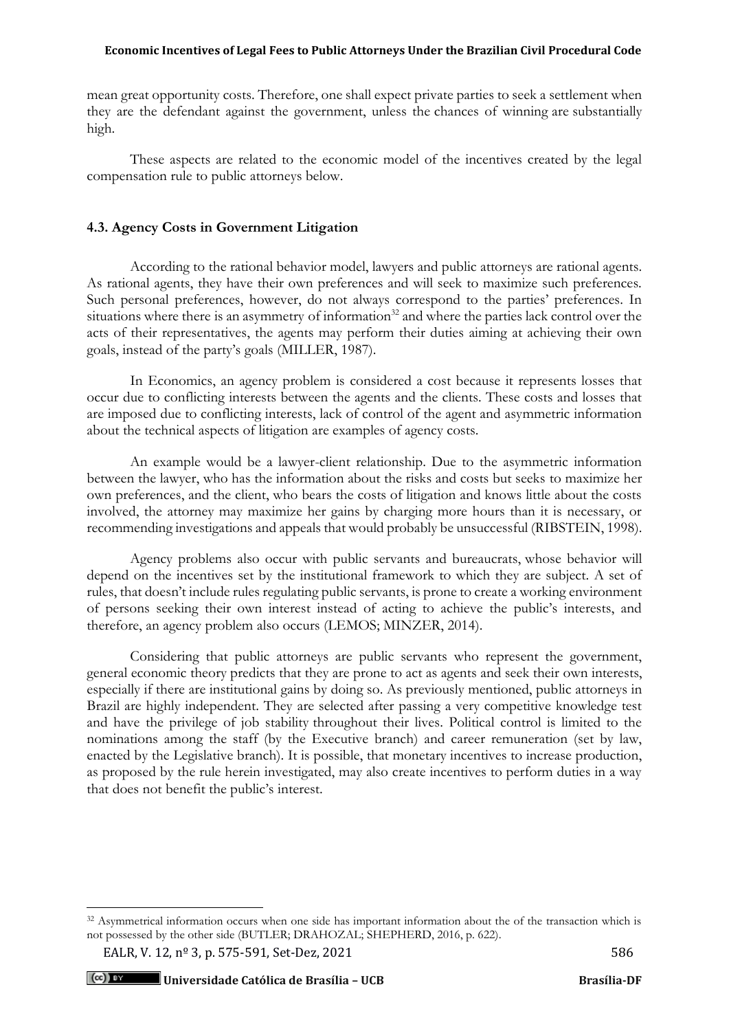mean great opportunity costs. Therefore, one shall expect private parties to seek a settlement when they are the defendant against the government, unless the chances of winning are substantially high.

These aspects are related to the economic model of the incentives created by the legal compensation rule to public attorneys below.

## **4.3. Agency Costs in Government Litigation**

According to the rational behavior model, lawyers and public attorneys are rational agents. As rational agents, they have their own preferences and will seek to maximize such preferences. Such personal preferences, however, do not always correspond to the parties' preferences. In situations where there is an asymmetry of information<sup>32</sup> and where the parties lack control over the acts of their representatives, the agents may perform their duties aiming at achieving their own goals, instead of the party's goals (MILLER, 1987).

In Economics, an agency problem is considered a cost because it represents losses that occur due to conflicting interests between the agents and the clients. These costs and losses that are imposed due to conflicting interests, lack of control of the agent and asymmetric information about the technical aspects of litigation are examples of agency costs.

An example would be a lawyer-client relationship. Due to the asymmetric information between the lawyer, who has the information about the risks and costs but seeks to maximize her own preferences, and the client, who bears the costs of litigation and knows little about the costs involved, the attorney may maximize her gains by charging more hours than it is necessary, or recommending investigations and appeals that would probably be unsuccessful (RIBSTEIN, 1998).

Agency problems also occur with public servants and bureaucrats, whose behavior will depend on the incentives set by the institutional framework to which they are subject. A set of rules, that doesn't include rules regulating public servants, is prone to create a working environment of persons seeking their own interest instead of acting to achieve the public's interests, and therefore, an agency problem also occurs (LEMOS; MINZER, 2014).

Considering that public attorneys are public servants who represent the government, general economic theory predicts that they are prone to act as agents and seek their own interests, especially if there are institutional gains by doing so. As previously mentioned, public attorneys in Brazil are highly independent. They are selected after passing a very competitive knowledge test and have the privilege of job stability throughout their lives. Political control is limited to the nominations among the staff (by the Executive branch) and career remuneration (set by law, enacted by the Legislative branch). It is possible, that monetary incentives to increase production, as proposed by the rule herein investigated, may also create incentives to perform duties in a way that does not benefit the public's interest.

<sup>&</sup>lt;sup>32</sup> Asymmetrical information occurs when one side has important information about the of the transaction which is not possessed by the other side (BUTLER; DRAHOZAL; SHEPHERD, 2016, p. 622).

EALR, V. 12,  $n^{\circ}$  3, p. 575-591, Set-Dez, 2021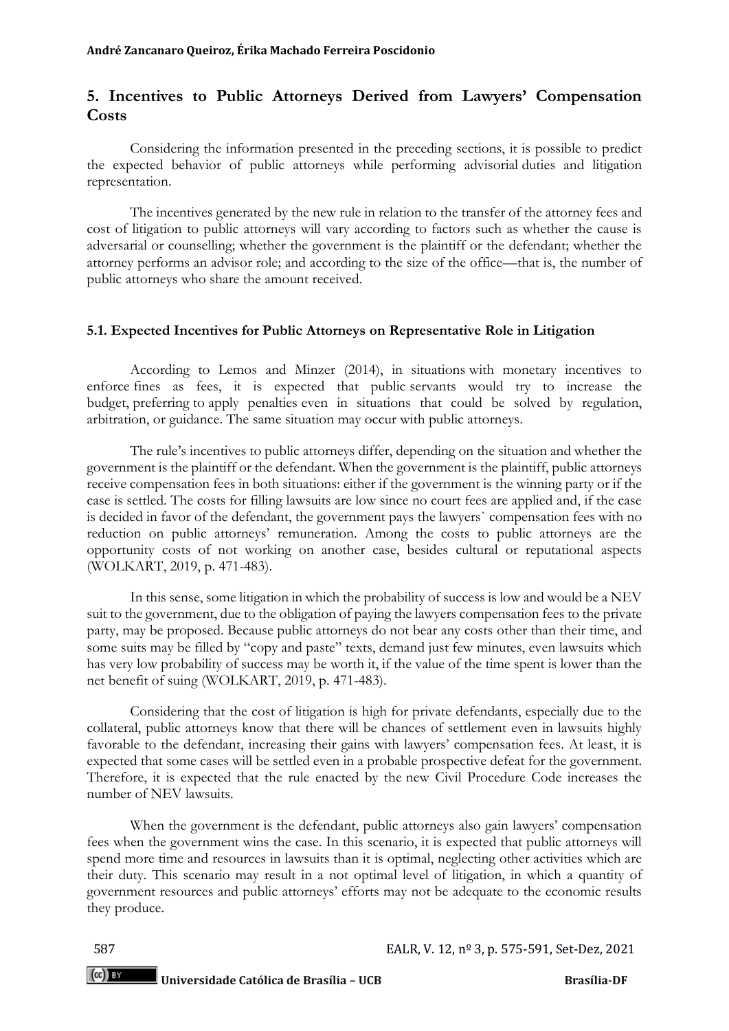# **5. Incentives to Public Attorneys Derived from Lawyers' Compensation Costs**

Considering the information presented in the preceding sections, it is possible to predict the expected behavior of public attorneys while performing advisorial duties and litigation representation.

The incentives generated by the new rule in relation to the transfer of the attorney fees and cost of litigation to public attorneys will vary according to factors such as whether the cause is adversarial or counselling; whether the government is the plaintiff or the defendant; whether the attorney performs an advisor role; and according to the size of the office—that is, the number of public attorneys who share the amount received.

## **5.1. Expected Incentives for Public Attorneys on Representative Role in Litigation**

According to Lemos and Minzer (2014), in situations with monetary incentives to enforce fines as fees, it is expected that public servants would try to increase the budget, preferring to apply penalties even in situations that could be solved by regulation, arbitration, or guidance. The same situation may occur with public attorneys.

The rule's incentives to public attorneys differ, depending on the situation and whether the government is the plaintiff or the defendant. When the government is the plaintiff, public attorneys receive compensation fees in both situations: either if the government is the winning party or if the case is settled. The costs for filling lawsuits are low since no court fees are applied and, if the case is decided in favor of the defendant, the government pays the lawyers` compensation fees with no reduction on public attorneys' remuneration. Among the costs to public attorneys are the opportunity costs of not working on another case, besides cultural or reputational aspects (WOLKART, 2019, p. 471-483).

In this sense, some litigation in which the probability of success is low and would be a NEV suit to the government, due to the obligation of paying the lawyers compensation fees to the private party, may be proposed. Because public attorneys do not bear any costs other than their time, and some suits may be filled by "copy and paste" texts, demand just few minutes, even lawsuits which has very low probability of success may be worth it, if the value of the time spent is lower than the net benefit of suing (WOLKART, 2019, p. 471-483).

Considering that the cost of litigation is high for private defendants, especially due to the collateral, public attorneys know that there will be chances of settlement even in lawsuits highly favorable to the defendant, increasing their gains with lawyers' compensation fees. At least, it is expected that some cases will be settled even in a probable prospective defeat for the government. Therefore, it is expected that the rule enacted by the new Civil Procedure Code increases the number of NEV lawsuits.

When the government is the defendant, public attorneys also gain lawyers' compensation fees when the government wins the case. In this scenario, it is expected that public attorneys will spend more time and resources in lawsuits than it is optimal, neglecting other activities which are their duty. This scenario may result in a not optimal level of litigation, in which a quantity of government resources and public attorneys' efforts may not be adequate to the economic results they produce.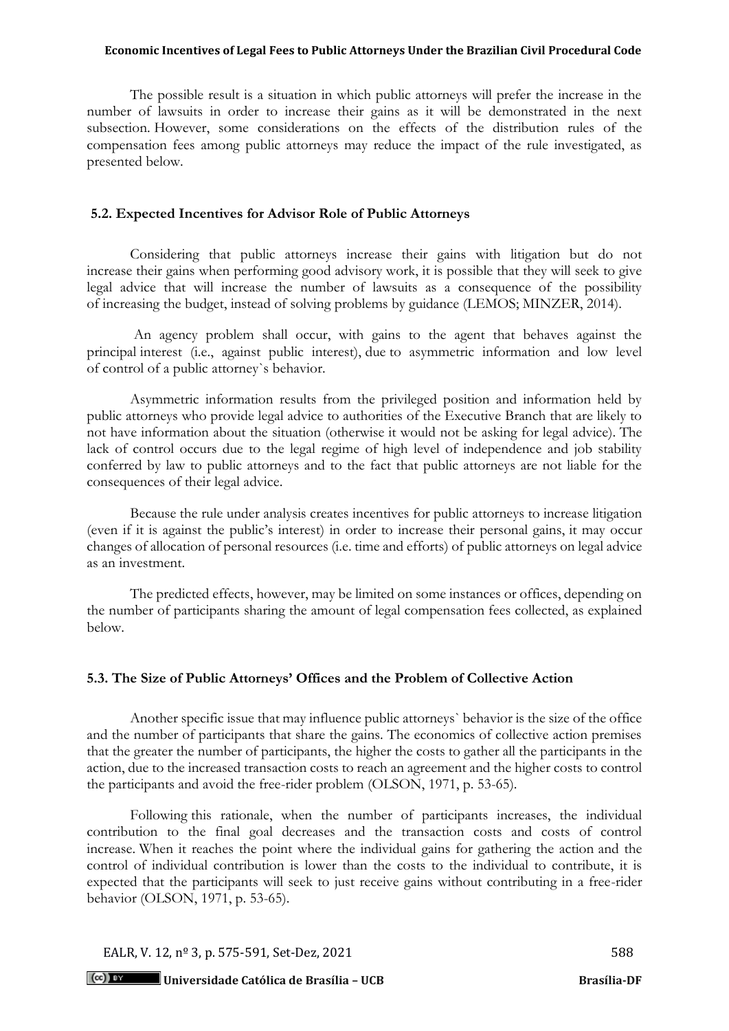The possible result is a situation in which public attorneys will prefer the increase in the number of lawsuits in order to increase their gains as it will be demonstrated in the next subsection. However, some considerations on the effects of the distribution rules of the compensation fees among public attorneys may reduce the impact of the rule investigated, as presented below.

### **5.2. Expected Incentives for Advisor Role of Public Attorneys**

Considering that public attorneys increase their gains with litigation but do not increase their gains when performing good advisory work, it is possible that they will seek to give legal advice that will increase the number of lawsuits as a consequence of the possibility of increasing the budget, instead of solving problems by guidance (LEMOS; MINZER, 2014).

An agency problem shall occur, with gains to the agent that behaves against the principal interest (i.e., against public interest), due to asymmetric information and low level of control of a public attorney`s behavior.

Asymmetric information results from the privileged position and information held by public attorneys who provide legal advice to authorities of the Executive Branch that are likely to not have information about the situation (otherwise it would not be asking for legal advice). The lack of control occurs due to the legal regime of high level of independence and job stability conferred by law to public attorneys and to the fact that public attorneys are not liable for the consequences of their legal advice.

Because the rule under analysis creates incentives for public attorneys to increase litigation (even if it is against the public's interest) in order to increase their personal gains, it may occur changes of allocation of personal resources (i.e. time and efforts) of public attorneys on legal advice as an investment.

The predicted effects, however, may be limited on some instances or offices, depending on the number of participants sharing the amount of legal compensation fees collected, as explained below.

## **5.3. The Size of Public Attorneys' Offices and the Problem of Collective Action**

Another specific issue that may influence public attorneys` behavior is the size of the office and the number of participants that share the gains. The economics of collective action premises that the greater the number of participants, the higher the costs to gather all the participants in the action, due to the increased transaction costs to reach an agreement and the higher costs to control the participants and avoid the free-rider problem (OLSON, 1971, p. 53-65).

Following this rationale, when the number of participants increases, the individual contribution to the final goal decreases and the transaction costs and costs of control increase. When it reaches the point where the individual gains for gathering the action and the control of individual contribution is lower than the costs to the individual to contribute, it is expected that the participants will seek to just receive gains without contributing in a free-rider behavior (OLSON, 1971, p. 53-65).

EALR, V. 12,  $n^{\circ}$  3, p. 575-591, Set-Dez, 2021

**Universidade Católica de Brasília – UCB Brasília-DF**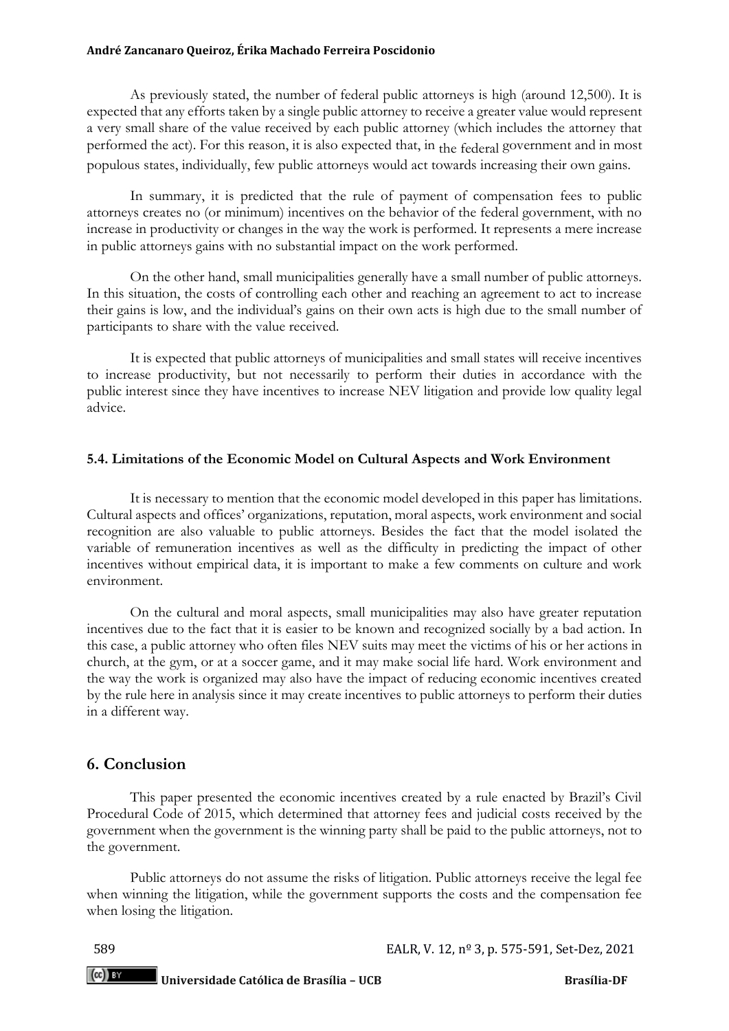As previously stated, the number of federal public attorneys is high (around 12,500). It is expected that any efforts taken by a single public attorney to receive a greater value would represent a very small share of the value received by each public attorney (which includes the attorney that performed the act). For this reason, it is also expected that, in the federal government and in most populous states, individually, few public attorneys would act towards increasing their own gains.

In summary, it is predicted that the rule of payment of compensation fees to public attorneys creates no (or minimum) incentives on the behavior of the federal government, with no increase in productivity or changes in the way the work is performed. It represents a mere increase in public attorneys gains with no substantial impact on the work performed.

On the other hand, small municipalities generally have a small number of public attorneys. In this situation, the costs of controlling each other and reaching an agreement to act to increase their gains is low, and the individual's gains on their own acts is high due to the small number of participants to share with the value received.

It is expected that public attorneys of municipalities and small states will receive incentives to increase productivity, but not necessarily to perform their duties in accordance with the public interest since they have incentives to increase NEV litigation and provide low quality legal advice.

## **5.4. Limitations of the Economic Model on Cultural Aspects and Work Environment**

It is necessary to mention that the economic model developed in this paper has limitations. Cultural aspects and offices' organizations, reputation, moral aspects, work environment and social recognition are also valuable to public attorneys. Besides the fact that the model isolated the variable of remuneration incentives as well as the difficulty in predicting the impact of other incentives without empirical data, it is important to make a few comments on culture and work environment.

On the cultural and moral aspects, small municipalities may also have greater reputation incentives due to the fact that it is easier to be known and recognized socially by a bad action. In this case, a public attorney who often files NEV suits may meet the victims of his or her actions in church, at the gym, or at a soccer game, and it may make social life hard. Work environment and the way the work is organized may also have the impact of reducing economic incentives created by the rule here in analysis since it may create incentives to public attorneys to perform their duties in a different way.

## **6. Conclusion**

This paper presented the economic incentives created by a rule enacted by Brazil's Civil Procedural Code of 2015, which determined that attorney fees and judicial costs received by the government when the government is the winning party shall be paid to the public attorneys, not to the government.

Public attorneys do not assume the risks of litigation. Public attorneys receive the legal fee when winning the litigation, while the government supports the costs and the compensation fee when losing the litigation.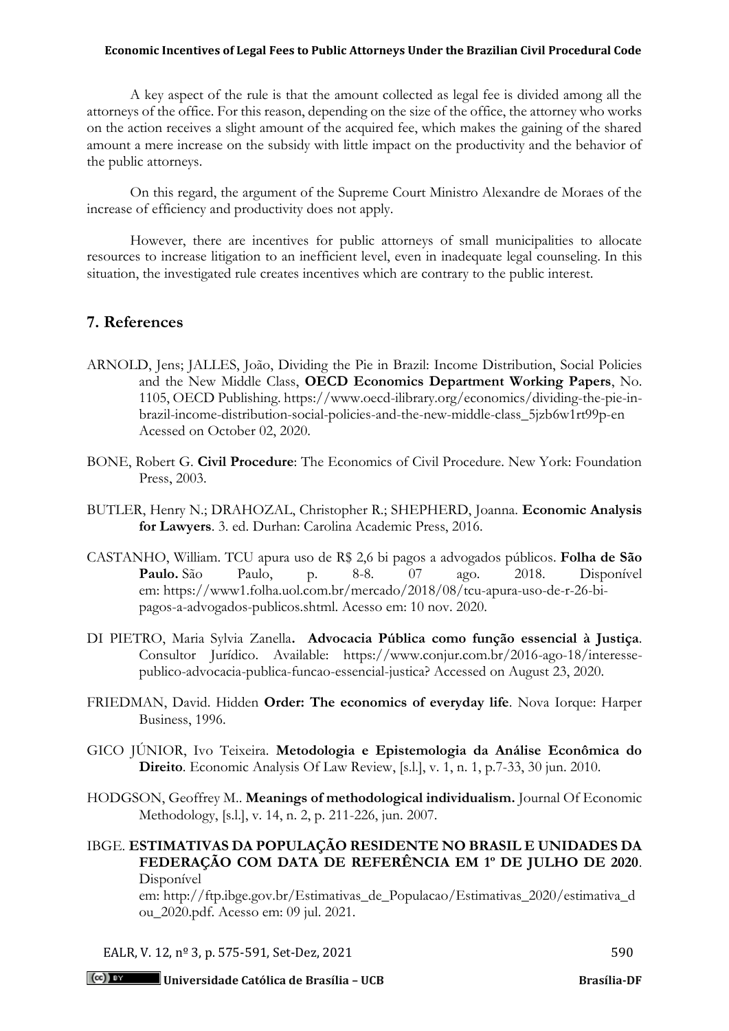A key aspect of the rule is that the amount collected as legal fee is divided among all the attorneys of the office. For this reason, depending on the size of the office, the attorney who works on the action receives a slight amount of the acquired fee, which makes the gaining of the shared amount a mere increase on the subsidy with little impact on the productivity and the behavior of the public attorneys.

On this regard, the argument of the Supreme Court Ministro Alexandre de Moraes of the increase of efficiency and productivity does not apply.

However, there are incentives for public attorneys of small municipalities to allocate resources to increase litigation to an inefficient level, even in inadequate legal counseling. In this situation, the investigated rule creates incentives which are contrary to the public interest.

## **7. References**

- ARNOLD, Jens; JALLES, João, Dividing the Pie in Brazil: Income Distribution, Social Policies and the New Middle Class, **OECD Economics Department Working Papers**, No. 1105, OECD Publishing. https://www.oecd-ilibrary.org/economics/dividing-the-pie-inbrazil-income-distribution-social-policies-and-the-new-middle-class\_5jzb6w1rt99p-en Acessed on October 02, 2020.
- BONE, Robert G. **Civil Procedure**: The Economics of Civil Procedure. New York: Foundation Press, 2003.
- BUTLER, Henry N.; DRAHOZAL, Christopher R.; SHEPHERD, Joanna. **Economic Analysis for Lawyers**. 3. ed. Durhan: Carolina Academic Press, 2016.
- CASTANHO, William. TCU apura uso de R\$ 2,6 bi pagos a advogados públicos. **Folha de São Paulo.** São Paulo, p. 8-8. 07 ago. 2018. Disponível em: https://www1.folha.uol.com.br/mercado/2018/08/tcu-apura-uso-de-r-26-bipagos-a-advogados-publicos.shtml. Acesso em: 10 nov. 2020.
- DI PIETRO, Maria Sylvia Zanella**. Advocacia Pública como função essencial à Justiça**. Consultor Jurídico. Available: https://www.conjur.com.br/2016-ago-18/interessepublico-advocacia-publica-funcao-essencial-justica? Accessed on August 23, 2020.
- FRIEDMAN, David. Hidden **Order: The economics of everyday life**. Nova Iorque: Harper Business, 1996.
- GICO JÚNIOR, Ivo Teixeira. **Metodologia e Epistemologia da Análise Econômica do Direito**. Economic Analysis Of Law Review, [s.l.], v. 1, n. 1, p.7-33, 30 jun. 2010.
- HODGSON, Geoffrey M.. **Meanings of methodological individualism.** Journal Of Economic Methodology, [s.l.], v. 14, n. 2, p. 211-226, jun. 2007.

## IBGE. **ESTIMATIVAS DA POPULAÇÃO RESIDENTE NO BRASIL E UNIDADES DA FEDERAÇÃO COM DATA DE REFERÊNCIA EM 1º DE JULHO DE 2020**. Disponível

em: http://ftp.ibge.gov.br/Estimativas\_de\_Populacao/Estimativas\_2020/estimativa\_d ou\_2020.pdf. Acesso em: 09 jul. 2021.

EALR, V. 12,  $n^{\circ}$  3, p. 575-591, Set-Dez, 2021